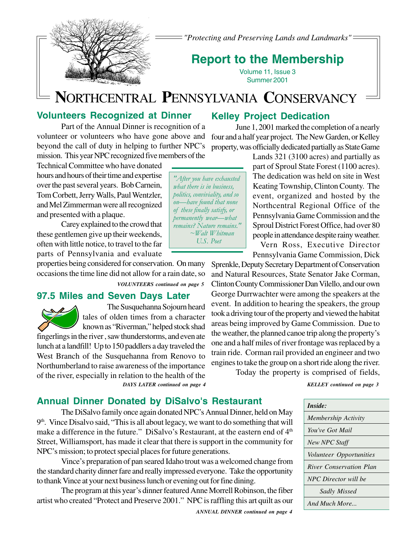

*"Protecting and Preserving Lands and Landmarks"*

## **Report to the Membership**

Volume 11, Issue 3 Summer 2001

# **N**ORTHCENTRAL **P**ENNSYLVANIA **C**ONSERVANCY

### **Volunteers Recognized at Dinner**

Part of the Annual Dinner is recognition of a volunteer or volunteers who have gone above and beyond the call of duty in helping to further NPC's mission. This year NPC recognized five members of the

Technical Committee who have donated hours and hours of their time and expertise over the past several years. Bob Carnein, Tom Corbett, Jerry Walls, Paul Wentzler, and Mel Zimmerman were all recognized and presented with a plaque.

Carey explained to the crowd that these gentlemen give up their weekends, often with little notice, to travel to the far parts of Pennsylvania and evaluate

properties being considered for conservation. On many occasions the time line did not allow for a rain date, so

*VOLUNTEERS continued on page 5*

### **97.5 Miles and Seven Days Later**



The Susquehanna Sojourn heard tales of olden times from a character known as "Riverman," helped stock shad

*DAYS LATER continued on page 4* fingerlings in the river , saw thunderstorms, and even ate lunch at a landfill! Up to 150 paddlers a day traveled the West Branch of the Susquehanna from Renovo to Northumberland to raise awareness of the importance of the river, especially in relation to the health of the

## **Kelley Project Dedication**

June 1, 2001 marked the completion of a nearly four and a half year project. The New Garden, or Kelley property, was officially dedicated partially as State Game

Lands 321 (3100 acres) and partially as part of Sproul State Forest (1100 acres). The dedication was held on site in West Keating Township, Clinton County. The event, organized and hosted by the Northcentral Regional Office of the Pennsylvania Game Commission and the Sproul District Forest Office, had over 80 people in attendance despite rainy weather.

Vern Ross, Executive Director Pennsylvania Game Commission, Dick

Sprenkle, Deputy Secretary Department of Conservation and Natural Resources, State Senator Jake Corman, Clinton County Commissioner Dan Vilello, and our own George Durrwachter were among the speakers at the event. In addition to hearing the speakers, the group took a driving tour of the property and viewed the habitat areas being improved by Game Commission. Due to the weather, the planned canoe trip along the property's one and a half miles of river frontage was replaced by a train ride. Corman rail provided an engineer and two engines to take the group on a short ride along the river.

Today the property is comprised of fields,

*KELLEY continued on page 3*

| Inside:                        |
|--------------------------------|
| <b>Membership Activity</b>     |
| You've Got Mail                |
| New NPC Staff                  |
| <i>Volunteer Opportunities</i> |
| River Conservation Plan        |
| NPC Director will be           |
| Sadly Missed                   |
| And Much More                  |

*"After you have exhausted what there is in business, politics, conviviality, and so on—have found that none of these finally satisfy, or permanently wear—what remains? Nature remains." ~Walt Whitman U.S. Poet*

## **Annual Dinner Donated by DiSalvo's Restaurant**

The DiSalvo family once again donated NPC's Annual Dinner, held on May  $9<sup>th</sup>$ . Vince Disalvo said, "This is all about legacy, we want to do something that will make a difference in the future." DiSalvo's Restaurant, at the eastern end of  $4<sup>th</sup>$ Street, Williamsport, has made it clear that there is support in the community for NPC's mission; to protect special places for future generations.

Vince's preparation of pan seared Idaho trout was a welcomed change from the standard charity dinner fare and really impressed everyone. Take the opportunity to thank Vince at your next business lunch or evening out for fine dining.

The program at this year's dinner featured Anne Morrell Robinson, the fiber artist who created "Protect and Preserve 2001." NPC is raffling this art quilt as our

*ANNUAL DINNER continued on page 4*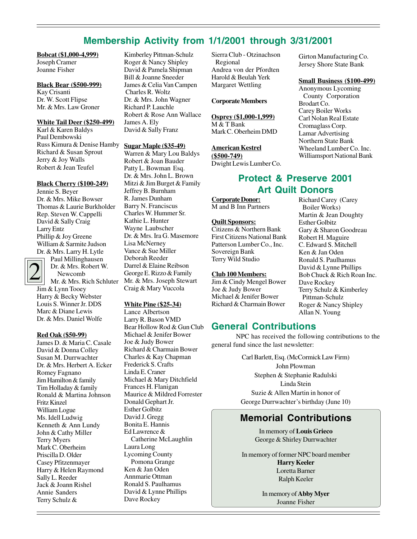### **Membership Activity from 1/1/2001 through 3/31/2001**

### **Bobcat (\$1,000-4,999)**

Joseph Cramer Joanne Fisher

#### **Black Bear (\$500-999)**

Kay Crisanti Dr. W. Scott Flipse Mr. & Mrs. Law Groner

#### **White Tail Deer (\$250-499)**

Karl & Karen Baldys Paul Dembowski Russ Kimura & Denise Hamby Richard & Susan Sprout Jerry & Joy Walls Robert & Jean Teufel

#### **Black Cherry (\$100-249)**

Jennie S. Beyer Dr. & Mrs. Mike Bowser Thomas & Laurie Burkholder Rep. Steven W. Cappelli David & Sally Craig Larry Entz Phillip & Joy Greene William & Sarmite Judson Dr. & Mrs. Larry H. Lytle



Paul Millinghausen Dr. & Mrs. Robert W. Newcomb

Mr. & Mrs. Rich Schluter Jim & Lynn Tooey Harry & Becky Webster Louis S. Winner Jr. DDS Marc & Diane Lewis Dr. & Mrs. Daniel Wolfe

#### **Red Oak (\$50-99)**

James D. & Maria C. Casale David & Donna Colley Susan M. Durrwachter Dr. & Mrs. Herbert A. Ecker Romey Fagnano Jim Hamilton & family Tim Holladay & family Ronald & Martina Johnson Fritz Kinzel William Logue Ms. Idell Ludwig Kenneth & Ann Lundy John & Cathy Miller Terry Myers Mark C. Oberheim Priscilla D. Older Casey Pfitzenmayer Harry & Helen Raymond Sally L. Reeder Jack & Joann Rishel Annie Sanders Terry Schulz &

Kimberley Pittman-Schulz Roger & Nancy Shipley David & Pamela Shipman Bill & Joanne Sneeder James & Celia Van Campen Charles R. Woltz Dr. & Mrs. John Wagner Richard P. Lauchle Robert & Rose Ann Wallace James A. Ely David & Sally Franz

#### **Sugar Maple (\$35-49)**

Warren & Mary Lou Baldys Robert & Joan Bauder Patty L. Bowman Esq. Dr. & Mrs. John L. Brown Mitzi & Jim Burget & Family Jeffrey B. Burnham R. James Dunham Barry N. Franciscus Charles W. Hummer Sr. Kathie L. Hunter Wayne Laubscher Dr. & Mrs. Ira G. Masemore Lisa McNerney Vance & Sue Miller Deborah Reeder Darrel & Elaine Reibson George E. Rizzo & Family Mr. & Mrs. Joseph Stewart Craig & Mary Vuccola

#### **White Pine (\$25-34)**

Lance Albertson Larry R. Bason VMD Bear Hollow Rod & Gun Club Michael & Jenifer Bower Joe & Judy Bower Richard & Charmain Bower Charles & Kay Chapman Frederick S. Crafts Linda E. Craner Michael & Mary Ditchfield Frances H. Flanigan Maurice & Mildred Forrester Donald Gephart Jr. Esther Golbitz David J. Gregg Bonita E. Hannis Ed Lawrence & Catherine McLaughlin Laura Long Lycoming County Pomona Grange Ken & Jan Oden Annmarie Ottman Ronald S. Paulhamus David & Lynne Phillips Dave Rockey

Sierra Club - Otzinachson Regional Andrea von der Pfordten Harold & Beulah Yerk Margaret Wettling

#### **Corporate Members**

**Osprey (\$1,000-1,999)** M & T Bank

Mark C. Oberheim DMD

### **American Kestrel**

**(\$500-749)** Dwight Lewis Lumber Co.

### **Protect & Preserve 2001 Art Quilt Donors**

**Corporate Donor:** M and B Inn Partners

#### **Quilt Sponsors:**

Citizens & Northern Bank First Citizens National Bank Patterson Lumber Co., Inc. Sovereign Bank Terry Wild Studio

#### **Club 100 Members:**

Jim & Cindy Mengel Bower Joe & Judy Bower Michael & Jenifer Bower Richard & Charmain Bower

### **General Contributions**

NPC has received the following contributions to the general fund since the last newsletter:

> Carl Barlett, Esq. (McCormick Law Firm) John Plowman Stephen & Stephanie Radulski Linda Stein Suzie & Allen Martin in honor of George Durrwachter's birthday (June 10)

### **Memorial Contributions**

In memory of **Louis Grieco** George & Shirley Durrwachter

In memory of former NPC board member **Harry Keeler** Loretta Barner Ralph Keeler

> In memory of **Abby Myer** Joanne Fisher

Girton Manufacturing Co. Jersey Shore State Bank

#### **Small Business (\$100-499)**

Anonymous Lycoming County Corporation Brodart Co. Carey Boiler Works Carl Nolan Real Estate Cromaglass Corp. Lamar Advertising Northern State Bank Wheeland Lumber Co. Inc. Williamsport National Bank

Richard Carey (Carey Boiler Works) Martin & Jean Doughty Esther Golbitz Gary & Sharon Goodreau Robert H. Maguire C. Edward S. Mitchell Ken & Jan Oden Ronald S. Paulhamus David & Lynne Phillips Bob Chuck & Rich Roan Inc. Dave Rockey Terry Schulz & Kimberley Pittman-Schulz Roger & Nancy Shipley Allan N. Young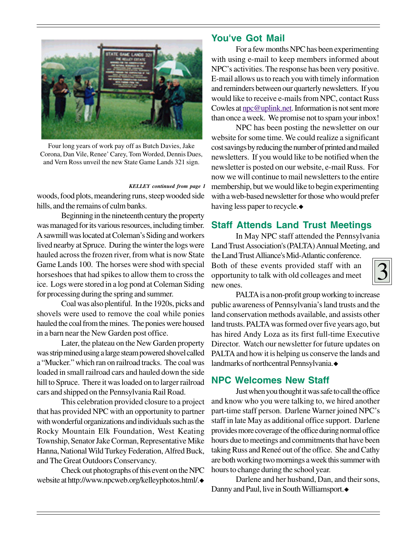

Four long years of work pay off as Butch Davies, Jake Corona, Dan Vile, Renee' Carey, Tom Worded, Dennis Dues, and Vern Ross unveil the new State Game Lands 321 sign.

#### *KELLEY continued from page 1*

woods, food plots, meandering runs, steep wooded side hills, and the remains of culm banks.

Beginning in the nineteenth century the property was managed for its various resources, including timber. A sawmill was located at Coleman's Siding and workers lived nearby at Spruce. During the winter the logs were hauled across the frozen river, from what is now State Game Lands 100. The horses were shod with special horseshoes that had spikes to allow them to cross the ice. Logs were stored in a log pond at Coleman Siding for processing during the spring and summer.

Coal was also plentiful. In the 1920s, picks and shovels were used to remove the coal while ponies hauled the coal from the mines. The ponies were housed in a barn near the New Garden post office.

Later, the plateau on the New Garden property was strip mined using a large steam powered shovel called a "Mucker." which ran on railroad tracks. The coal was loaded in small railroad cars and hauled down the side hill to Spruce. There it was loaded on to larger railroad cars and shipped on the Pennsylvania Rail Road.

This celebration provided closure to a project that has provided NPC with an opportunity to partner with wonderful organizations and individuals such as the Rocky Mountain Elk Foundation, West Keating Township, Senator Jake Corman, Representative Mike Hanna, National Wild Turkey Federation, Alfred Buck, and The Great Outdoors Conservancy.

Check out photographs of this event on the NPC website at http://www.npcweb.org/kelleyphotos.html/.

### **You've Got Mail**

For a few months NPC has been experimenting with using e-mail to keep members informed about NPC's activities. The response has been very positive. E-mail allows us to reach you with timely information and reminders between our quarterly newsletters. If you would like to receive e-mails from NPC, contact Russ Cowles at npc@uplink.net. Information is not sent more than once a week. We promise not to spam your inbox!

NPC has been posting the newsletter on our website for some time. We could realize a significant cost savings by reducing the number of printed and mailed newsletters. If you would like to be notified when the newsletter is posted on our website, e-mail Russ. For now we will continue to mail newsletters to the entire membership, but we would like to begin experimenting with a web-based newsletter for those who would prefer having less paper to recycle.

### **Staff Attends Land Trust Meetings**

In May NPC staff attended the Pennsylvania Land Trust Association's (PALTA) Annual Meeting, and

the Land Trust Alliance's Mid-Atlantic conference. Both of these events provided staff with an opportunity to talk with old colleages and meet new ones.

3

PALTA is a non-profit group working to increase public awareness of Pennsylvania's land trusts and the land conservation methods available, and assists other land trusts. PALTA was formed over five years ago, but has hired Andy Loza as its first full-time Executive Director. Watch our newsletter for future updates on PALTA and how it is helping us conserve the lands and landmarks of northcentral Pennsylvania.

### **NPC Welcomes New Staff**

Just when you thought it was safe to call the office and know who you were talking to, we hired another part-time staff person. Darlene Warner joined NPC's staff in late May as additional office support. Darlene provides more coverage of the office during normal office hours due to meetings and commitments that have been taking Russ and Reneé out of the office. She and Cathy are both working two mornings a week this summer with hours to change during the school year.

Darlene and her husband, Dan, and their sons, Danny and Paul, live in South Williamsport.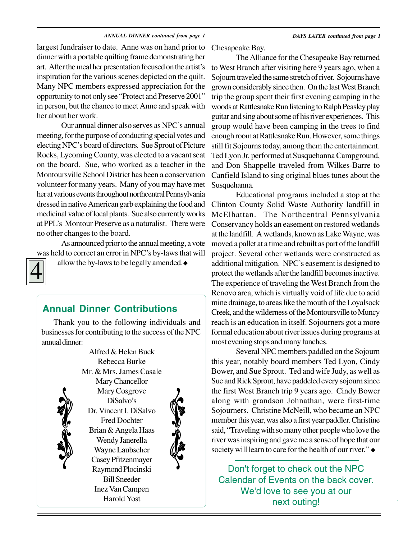#### *ANNUAL DINNER continued from page 1 DAYS LATER continued from page 1*

largest fundraiser to date. Anne was on hand prior to dinner with a portable quilting frame demonstrating her art. After the meal her presentation focused on the artist's inspiration for the various scenes depicted on the quilt. Many NPC members expressed appreciation for the opportunity to not only see "Protect and Preserve 2001" in person, but the chance to meet Anne and speak with her about her work.

Our annual dinner also serves as NPC's annual meeting, for the purpose of conducting special votes and electing NPC's board of directors. Sue Sprout of Picture Rocks, Lycoming County, was elected to a vacant seat on the board. Sue, who worked as a teacher in the Montoursville School District has been a conservation volunteer for many years. Many of you may have met her at various events throughout northcentral Pennsylvania dressed in native American garb explaining the food and medicinal value of local plants. Sue also currently works at PPL's Montour Preserve as a naturalist. There were no other changes to the board.

As announced prior to the annual meeting, a vote was held to correct an error in NPC's by-laws that will



allow the by-laws to be legally amended.

### **Annual Dinner Contributions**

Thank you to the following individuals and businesses for contributing to the success of the NPC annual dinner:

> Alfred & Helen Buck Rebecca Burke



Mr. & Mrs. James Casale Mary Chancellor Mary Cosgrove DiSalvo's Dr. Vincent I. DiSalvo Fred Dochter Brian & Angela Haas Wendy Janerella Wayne Laubscher Casey Pfitzenmayer Raymond Plocinski Bill Sneeder Inez Van Campen Harold Yost



Chesapeake Bay.

The Alliance for the Chesapeake Bay returned to West Branch after visiting here 9 years ago, when a Sojourn traveled the same stretch of river. Sojourns have grown considerably since then. On the last West Branch trip the group spent their first evening camping in the woods at Rattlesnake Run listening to Ralph Peasley play guitar and sing about some of his river experiences. This group would have been camping in the trees to find enough room at Rattlesnake Run. However, some things still fit Sojourns today, among them the entertainment. Ted Lyon Jr. performed at Susquehanna Campground, and Don Shappelle traveled from Wilkes-Barre to Canfield Island to sing original blues tunes about the Susquehanna.

Educational programs included a stop at the Clinton County Solid Waste Authority landfill in McElhattan. The Northcentral Pennsylvania Conservancy holds an easement on restored wetlands at the landfill. A wetlands, known as Lake Wayne, was moved a pallet at a time and rebuilt as part of the landfill project. Several other wetlands were constructed as additional mitigation. NPC's easement is designed to protect the wetlands after the landfill becomes inactive. The experience of traveling the West Branch from the Renovo area, which is virtually void of life due to acid mine drainage, to areas like the mouth of the Loyalsock Creek, and the wilderness of the Montoursville to Muncy reach is an education in itself. Sojourners got a more formal education about river issues during programs at most evening stops and many lunches.

Several NPC members paddled on the Sojourn this year, notably board members Ted Lyon, Cindy Bower, and Sue Sprout. Ted and wife Judy, as well as Sue and Rick Sprout, have paddeled every sojourn since the first West Branch trip 9 years ago. Cindy Bower along with grandson Johnathan, were first-time Sojourners. Christine McNeill, who became an NPC member this year, was also a first year paddler. Christine said, "Traveling with so many other people who love the river was inspiring and gave me a sense of hope that our society will learn to care for the health of our river."  $\bullet$ 

Don't forget to check out the NPC Calendar of Events on the back cover. We'd love to see you at our next outing!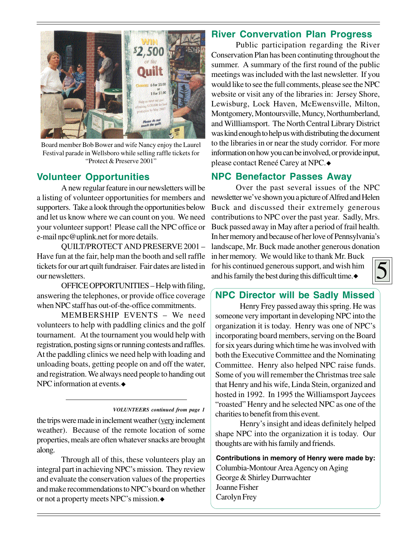

Board member Bob Bower and wife Nancy enjoy the Laurel Festival parade in Wellsboro while selling raffle tickets for "Protect & Preserve 2001"

### **Volunteer Opportunities**

A new regular feature in our newsletters will be a listing of volunteer opportunities for members and supporters. Take a look through the opportunities below and let us know where we can count on you. We need your volunteer support! Please call the NPC office or e-mail npc@uplink.net for more details.

QUILT/PROTECT AND PRESERVE 2001 – Have fun at the fair, help man the booth and sell raffle tickets for our art quilt fundraiser. Fair dates are listed in our newsletters.

OFFICE OPPORTUNITIES – Help with filing, answering the telephones, or provide office coverage when NPC staff has out-of-the-office commitments.

MEMBERSHIP EVENTS – We need volunteers to help with paddling clinics and the golf tournament. At the tournament you would help with registration, posting signs or running contests and raffles. At the paddling clinics we need help with loading and unloading boats, getting people on and off the water, and registration. We always need people to handing out NPC information at events.

#### *VOLUNTEERS continued from page 1*

the trips were made in inclement weather (very inclement weather). Because of the remote location of some properties, meals are often whatever snacks are brought along.

Through all of this, these volunteers play an integral part in achieving NPC's mission. They review and evaluate the conservation values of the properties and make recommendations to NPC's board on whether or not a property meets NPC's mission.

### **River Convervation Plan Progress**

Public participation regarding the River Conservation Plan has been continuting throughout the summer. A summary of the first round of the public meetings was included with the last newsletter. If you would like to see the full comments, please see the NPC website or visit any of the libraries in: Jersey Shore, Lewisburg, Lock Haven, McEwensville, Milton, Montgomery, Montoursville, Muncy, Northumberland, and Willliamsport. The North Central Library District was kind enough to help us with distributing the document to the libraries in or near the study corridor. For more information on how you can be involved, or provide input, please contact Reneé Carey at NPC.

### **NPC Benefactor Passes Away**

Over the past several issues of the NPC newsletter we've shown you a picture of Alfred and Helen Buck and discussed their extremely generous contributions to NPC over the past year. Sadly, Mrs. Buck passed away in May after a period of frail health. In her memory and because of her love of Pennsylvania's landscape, Mr. Buck made another generous donation

in her memory. We would like to thank Mr. Buck for his continued generous support, and wish him and his family the best during this difficult time. $\bullet$ 



### **NPC Director will be Sadly Missed**

Henry Frey passed away this spring. He was someone very important in developing NPC into the organization it is today. Henry was one of NPC's incorporating board members, serving on the Board for six years during which time he was involved with both the Executive Committee and the Nominating Committee. Henry also helped NPC raise funds. Some of you will remember the Christmas tree sale that Henry and his wife, Linda Stein, organized and hosted in 1992. In 1995 the Williamsport Jaycees "roasted" Henry and he selected NPC as one of the charities to benefit from this event.

Henry's insight and ideas definitely helped shape NPC into the organization it is today. Our thoughts are with his family and friends.

**Contributions in memory of Henry were made by:** Columbia-Montour Area Agency on Aging George & Shirley Durrwachter Joanne Fisher Carolyn Frey